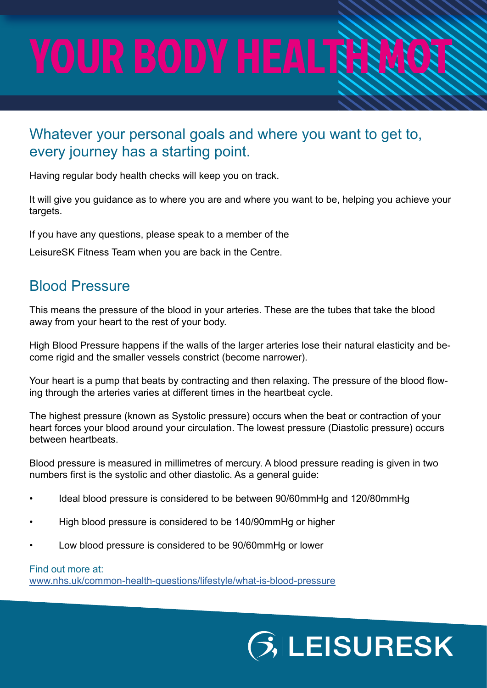# YOUR BODY HEALTHER

### Whatever your personal goals and where you want to get to, every journey has a starting point.

Having regular body health checks will keep you on track.

It will give you guidance as to where you are and where you want to be, helping you achieve your targets.

If you have any questions, please speak to a member of the

LeisureSK Fitness Team when you are back in the Centre.

### Blood Pressure

This means the pressure of the blood in your arteries. These are the tubes that take the blood away from your heart to the rest of your body.

High Blood Pressure happens if the walls of the larger arteries lose their natural elasticity and become rigid and the smaller vessels constrict (become narrower).

Your heart is a pump that beats by contracting and then relaxing. The pressure of the blood flowing through the arteries varies at different times in the heartbeat cycle.

The highest pressure (known as Systolic pressure) occurs when the beat or contraction of your heart forces your blood around your circulation. The lowest pressure (Diastolic pressure) occurs between heartbeats.

Blood pressure is measured in millimetres of mercury. A blood pressure reading is given in two numbers first is the systolic and other diastolic. As a general guide:

- Ideal blood pressure is considered to be between 90/60mmHg and 120/80mmHg
- High blood pressure is considered to be 140/90mmHg or higher
- Low blood pressure is considered to be 90/60mmHg or lower

#### Find out more at:

[www.nhs.uk/common-health-questions/lifestyle/what-is-blood-pressure](http://www.nhs.uk/common-health-questions/lifestyle/what-is-blood-pressure)

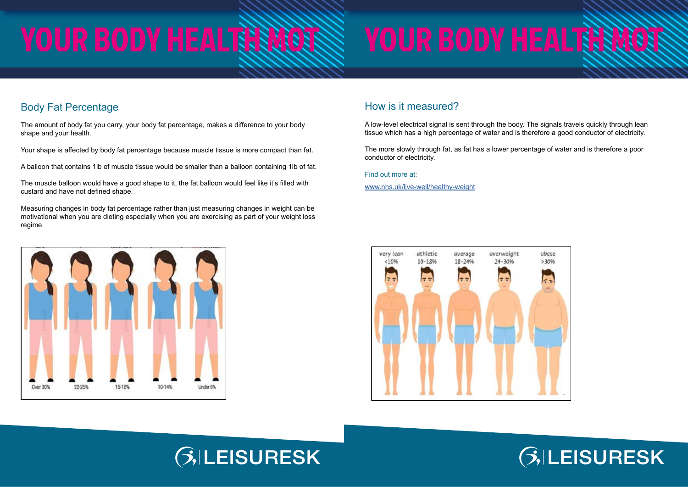# YOUR BODY HEALTHNOTS

# YOUR BODY HEALTHNOTS





### Body Fat Percentage

The amount of body fat you carry, your body fat percentage, makes a difference to your body shape and your health.

Your shape is affected by body fat percentage because muscle tissue is more compact than fat.

A balloon that contains 1lb of muscle tissue would be smaller than a balloon containing 1lb of fat.

The muscle balloon would have a good shape to it, the fat balloon would feel like it's filled with custard and have not defined shape.

Measuring changes in body fat percentage rather than just measuring changes in weight can be motivational when you are dieting especially when you are exercising as part of your weight loss regime.



### How is it measured?

A low-level electrical signal is sent through the body. The signals travels quickly through lean tissue which has a high percentage of water and is therefore a good conductor of electricity.

The more slowly through fat, as fat has a lower percentage of water and is therefore a poor conductor of electricity.

Find out more at:

[www.nhs.uk/live-well/healthy-weight](http://www.nhs.uk/live-well/healthy-weight)



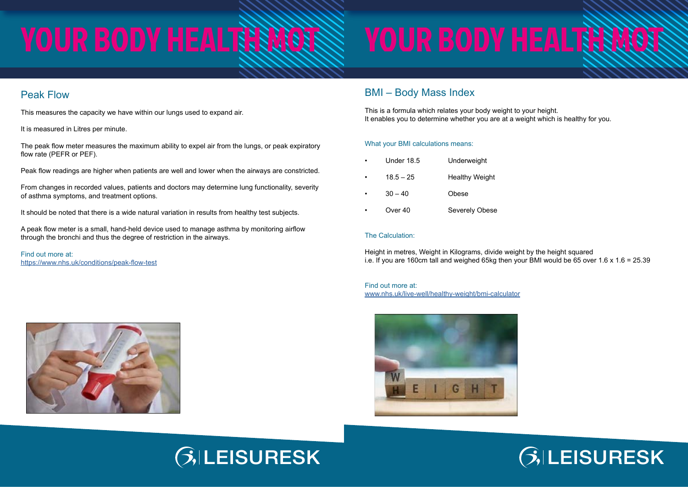# YOUR BODY HEALTHNOTS

# YOUR BODY HEALTHNOTS

# LEISURESK



### Peak Flow

This measures the capacity we have within our lungs used to expand air.

It is measured in Litres per minute.

The peak flow meter measures the maximum ability to expel air from the lungs, or peak expiratory flow rate (PEFR or PEF).

Peak flow readings are higher when patients are well and lower when the airways are constricted.

From changes in recorded values, patients and doctors may determine lung functionality, severity of asthma symptoms, and treatment options.

It should be noted that there is a wide natural variation in results from healthy test subjects.

Height in metres, Weight in Kilograms, divide weight by the height squared i.e. If you are 160cm tall and weighed 65kg then your BMI would be 65 over 1.6 x 1.6 = 25.39

A peak flow meter is a small, hand-held device used to manage asthma by monitoring airflow through the bronchi and thus the degree of restriction in the airways.

Find out more at: <https://www.nhs.uk/conditions/peak-flow-test>





### BMI – Body Mass Index

This is a formula which relates your body weight to your height. It enables you to determine whether you are at a weight which is healthy for you.

#### What your BMI calculations means:

| $\bullet$ | <b>Under 18.5</b> | Underweight           |
|-----------|-------------------|-----------------------|
| $\bullet$ | $18.5 - 25$       | <b>Healthy Weight</b> |
| $\bullet$ | $30 - 40$         | Obese                 |
|           |                   |                       |

## Over 40 Severely Obese

#### The Calculation:

Find out more at: [www.nhs.uk/live-well/healthy-weight/bmi-calculator](http://www.nhs.uk/live-well/healthy-weight/bmi-calculator)